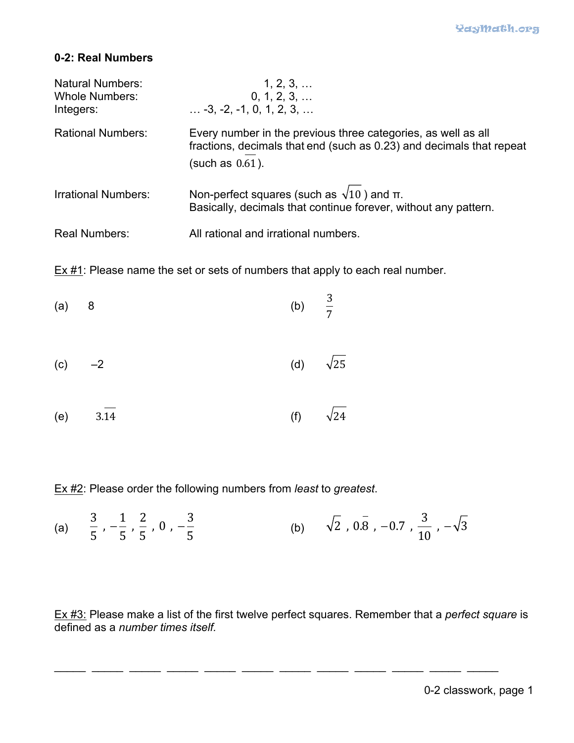## **0-2: Real Numbers**

| <b>Natural Numbers:</b><br><b>Whole Numbers:</b><br>Integers: | 1, 2, 3,<br>0, 1, 2, 3,<br>$\ldots$ -3, -2, -1, 0, 1, 2, 3, $\ldots$                                                                                        |
|---------------------------------------------------------------|-------------------------------------------------------------------------------------------------------------------------------------------------------------|
| <b>Rational Numbers:</b>                                      | Every number in the previous three categories, as well as all<br>fractions, decimals that end (such as 0.23) and decimals that repeat<br>(such as $0.61$ ). |
| <b>Irrational Numbers:</b>                                    | Non-perfect squares (such as $\sqrt{10}$ ) and $\pi$ .<br>Basically, decimals that continue forever, without any pattern.                                   |
| <b>Real Numbers:</b>                                          | All rational and irrational numbers.                                                                                                                        |

 $Ex #1$ : Please name the set or sets of numbers that apply to each real number.

| $(a)$ 8 | (b) $\frac{3}{7}$ |  |
|---------|-------------------|--|
|         |                   |  |

- (c)  $-2$  (d)  $\sqrt{25}$
- (e) 3.14 (f)  $\sqrt{24}$

Ex #2: Please order the following numbers from *least* to *greatest*.

(a) 
$$
\frac{3}{5}
$$
,  $-\frac{1}{5}$ ,  $\frac{2}{5}$ , 0,  $-\frac{3}{5}$  (b)  $\sqrt{2}$ , 0.8, -0.7,  $\frac{3}{10}$ ,  $-\sqrt{3}$ 

Ex #3: Please make a list of the first twelve perfect squares. Remember that a *perfect square* is defined as a *number times itself.*

\_\_\_\_\_ \_\_\_\_\_ \_\_\_\_\_ \_\_\_\_\_ \_\_\_\_\_ \_\_\_\_\_ \_\_\_\_\_ \_\_\_\_\_ \_\_\_\_\_ \_\_\_\_\_ \_\_\_\_\_ \_\_\_\_\_